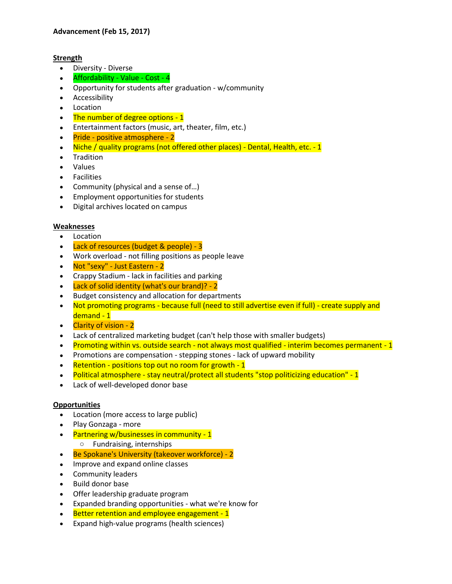# **Strength**

- Diversity Diverse
- Affordability Value Cost 4
- Opportunity for students after graduation w/community
- Accessibility
- Location
- The number of degree options 1
- Entertainment factors (music, art, theater, film, etc.)
- Pride positive atmosphere 2
- Niche / quality programs (not offered other places) Dental, Health, etc. 1
- Tradition
- Values
- Facilities
- Community (physical and a sense of...)
- Employment opportunities for students
- Digital archives located on campus

### **Weaknesses**

- Location
- Lack of resources (budget & people) 3
- Work overload not filling positions as people leave
- Not "sexy" Just Eastern 2
- Crappy Stadium lack in facilities and parking
- Lack of solid identity (what's our brand)? 2
- Budget consistency and allocation for departments
- Not promoting programs because full (need to still advertise even if full) create supply and demand - 1
- Clarity of vision 2
- Lack of centralized marketing budget (can't help those with smaller budgets)
- Promoting within vs. outside search not always most qualified interim becomes permanent 1
- Promotions are compensation stepping stones lack of upward mobility
- Retention positions top out no room for growth 1
- Political atmosphere stay neutral/protect all students "stop politicizing education" 1
- Lack of well-developed donor base

### **Opportunities**

- Location (more access to large public)
- Play Gonzaga more
- Partnering w/businesses in community 1
	- o Fundraising, internships
- Be Spokane's University (takeover workforce) 2
- Improve and expand online classes
- Community leaders
- Build donor base
- Offer leadership graduate program
- Expanded branding opportunities what we're know for
- Better retention and employee engagement 1
- Expand high-value programs (health sciences)